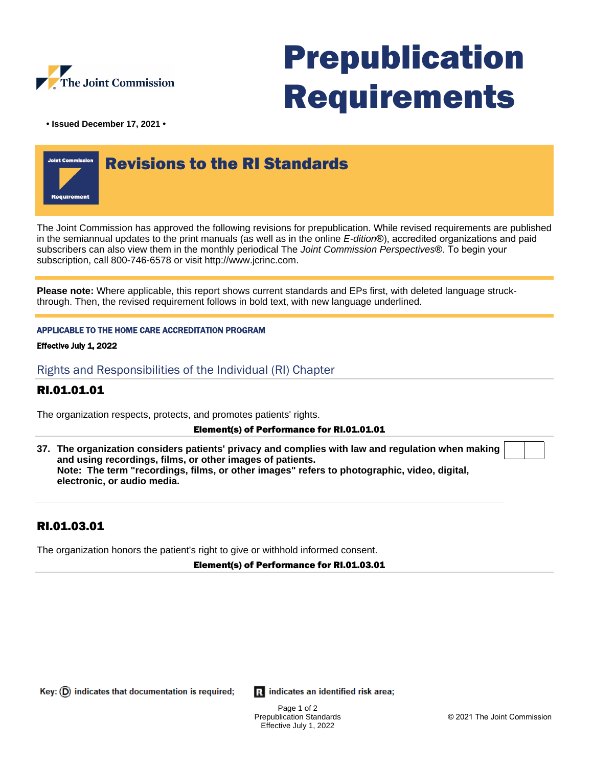

# Prepublication Requirements

**• Issued December 17, 2021 •**



The Joint Commission has approved the following revisions for prepublication. While revised requirements are published in the semiannual updates to the print manuals (as well as in the online E-dition®), accredited organizations and paid subscribers can also view them in the monthly periodical The Joint Commission Perspectives®. To begin your subscription, call 800-746-6578 or visit http://www.jcrinc.com.

**Please note:** Where applicable, this report shows current standards and EPs first, with deleted language struckthrough. Then, the revised requirement follows in bold text, with new language underlined.

### APPLICABLE TO THE HOME CARE ACCREDITATION PROGRAM

Effective July 1, 2022

Rights and Responsibilities of the Individual (RI) Chapter

## RI.01.01.01

The organization respects, protects, and promotes patients' rights.

### Element(s) of Performance for RI.01.01.01

**37. The organization considers patients' privacy and complies with law and regulation when making and using recordings, films, or other images of patients. Note: The term "recordings, films, or other images" refers to photographic, video, digital, electronic, or audio media.**

## RI.01.03.01

The organization honors the patient's right to give or withhold informed consent.

Element(s) of Performance for RI.01.03.01

Key:  $(D)$  indicates that documentation is required;

**R** indicates an identified risk area;

Page 1 of 2 Prepublication Standards Effective July 1, 2022